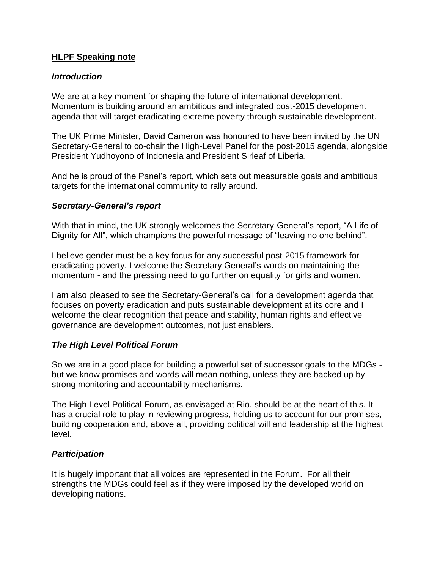## **HLPF Speaking note**

#### *Introduction*

We are at a key moment for shaping the future of international development. Momentum is building around an ambitious and integrated post-2015 development agenda that will target eradicating extreme poverty through sustainable development.

The UK Prime Minister, David Cameron was honoured to have been invited by the UN Secretary-General to co-chair the High-Level Panel for the post-2015 agenda, alongside President Yudhoyono of Indonesia and President Sirleaf of Liberia.

And he is proud of the Panel's report, which sets out measurable goals and ambitious targets for the international community to rally around.

#### *Secretary-General's report*

With that in mind, the UK strongly welcomes the Secretary-General's report, "A Life of Dignity for All", which champions the powerful message of "leaving no one behind".

I believe gender must be a key focus for any successful post-2015 framework for eradicating poverty. I welcome the Secretary General's words on maintaining the momentum - and the pressing need to go further on equality for girls and women.

I am also pleased to see the Secretary-General's call for a development agenda that focuses on poverty eradication and puts sustainable development at its core and I welcome the clear recognition that peace and stability, human rights and effective governance are development outcomes, not just enablers.

## *The High Level Political Forum*

So we are in a good place for building a powerful set of successor goals to the MDGs but we know promises and words will mean nothing, unless they are backed up by strong monitoring and accountability mechanisms.

The High Level Political Forum, as envisaged at Rio, should be at the heart of this. It has a crucial role to play in reviewing progress, holding us to account for our promises, building cooperation and, above all, providing political will and leadership at the highest level.

## *Participation*

It is hugely important that all voices are represented in the Forum. For all their strengths the MDGs could feel as if they were imposed by the developed world on developing nations.